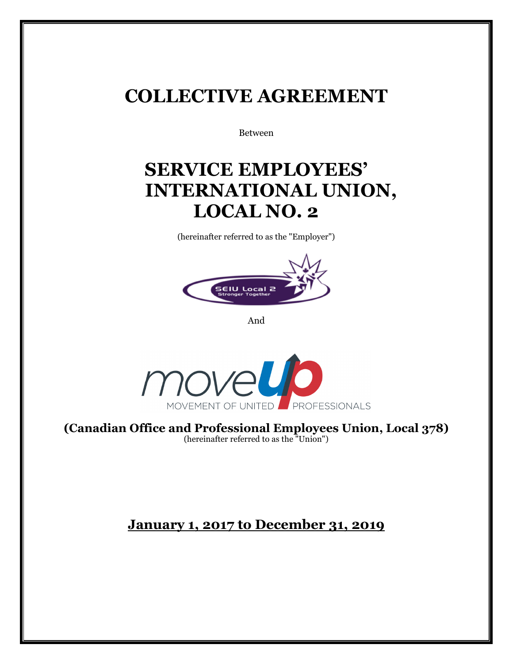## **COLLECTIVE AGREEMENT**

Between

## **SERVICE EMPLOYEES' INTERNATIONAL UNION, LOCAL NO. 2**

(hereinafter referred to as the "Employer")



And



**(Canadian Office and Professional Employees Union, Local 378)**  (hereinafter referred to as the "Union")

## **January 1, 2017 to December 31, 2019**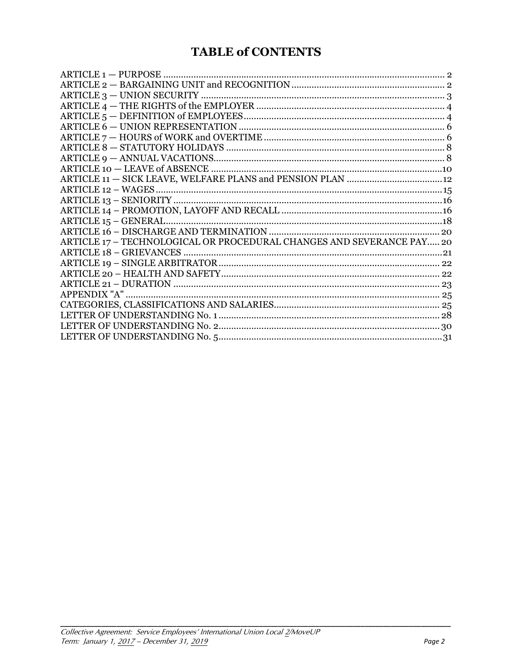## **TABLE of CONTENTS**

| ARTICLE 17 - TECHNOLOGICAL OR PROCEDURAL CHANGES AND SEVERANCE PAY 20 |  |
|-----------------------------------------------------------------------|--|
|                                                                       |  |
|                                                                       |  |
|                                                                       |  |
|                                                                       |  |
|                                                                       |  |
|                                                                       |  |
|                                                                       |  |
|                                                                       |  |
|                                                                       |  |
|                                                                       |  |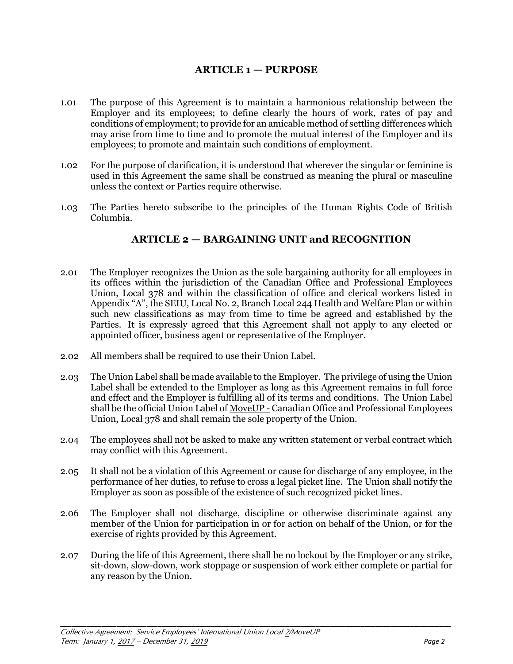## **ARTICLE 1 — PURPOSE**

- 1.01 The purpose of this Agreement is to maintain a harmonious relationship between the Employer and its employees; to define clearly the hours of work, rates of pay and conditions of employment; to provide for an amicable method of settling differences which may arise from time to time and to promote the mutual interest of the Employer and its employees; to promote and maintain such conditions of employment.
- 1.02 For the purpose of clarification, it is understood that wherever the singular or feminine is used in this Agreement the same shall be construed as meaning the plural or masculine unless the context or Parties require otherwise.
- 1.03 The Parties hereto subscribe to the principles of the Human Rights Code of British Columbia.

## **ARTICLE 2 — BARGAINING UNIT and RECOGNITION**

- 2.01 The Employer recognizes the Union as the sole bargaining authority for all employees in its offices within the jurisdiction of the Canadian Office and Professional Employees Union, Local 378 and within the classification of office and clerical workers listed in Appendix "A", the SEIU, Local No. 2, Branch Local 244 Health and Welfare Plan or within such new classifications as may from time to time be agreed and established by the Parties. It is expressly agreed that this Agreement shall not apply to any elected or appointed officer, business agent or representative of the Employer.
- 2.02 All members shall be required to use their Union Label.
- 2.03 The Union Label shall be made available to the Employer. The privilege of using the Union Label shall be extended to the Employer as long as this Agreement remains in full force and effect and the Employer is fulfilling all of its terms and conditions. The Union Label shall be the official Union Label of MoveUP - Canadian Office and Professional Employees Union, Local 378 and shall remain the sole property of the Union.
- 2.04 The employees shall not be asked to make any written statement or verbal contract which may conflict with this Agreement.
- 2.05 It shall not be a violation of this Agreement or cause for discharge of any employee, in the performance of her duties, to refuse to cross a legal picket line. The Union shall notify the Employer as soon as possible of the existence of such recognized picket lines.
- 2.06 The Employer shall not discharge, discipline or otherwise discriminate against any member of the Union for participation in or for action on behalf of the Union, or for the exercise of rights provided by this Agreement.
- 2.07 During the life of this Agreement, there shall be no lockout by the Employer or any strike, sit-down, slow-down, work stoppage or suspension of work either complete or partial for any reason by the Union.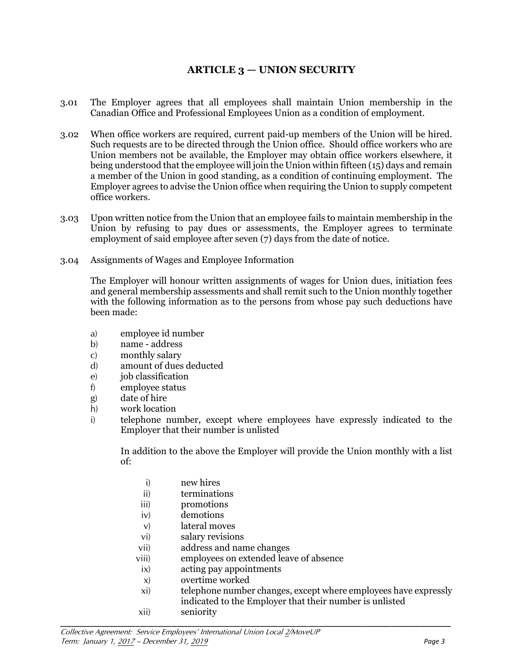## **ARTICLE 3 — UNION SECURITY**

- 3.01 The Employer agrees that all employees shall maintain Union membership in the Canadian Office and Professional Employees Union as a condition of employment.
- 3.02 When office workers are required, current paid-up members of the Union will be hired. Such requests are to be directed through the Union office. Should office workers who are Union members not be available, the Employer may obtain office workers elsewhere, it being understood that the employee will join the Union within fifteen (15) days and remain a member of the Union in good standing, as a condition of continuing employment. The Employer agrees to advise the Union office when requiring the Union to supply competent office workers.
- 3.03 Upon written notice from the Union that an employee fails to maintain membership in the Union by refusing to pay dues or assessments, the Employer agrees to terminate employment of said employee after seven (7) days from the date of notice.
- 3.04 Assignments of Wages and Employee Information

The Employer will honour written assignments of wages for Union dues, initiation fees and general membership assessments and shall remit such to the Union monthly together with the following information as to the persons from whose pay such deductions have been made:

- a) employee id number
- b) name address
- c) monthly salary
- d) amount of dues deducted
- e) iob classification
- f) employee status
- g) date of hire
- h) work location
- i) telephone number, except where employees have expressly indicated to the Employer that their number is unlisted

 In addition to the above the Employer will provide the Union monthly with a list of:

- i) new hires
- ii) terminations
- iii) promotions
- iv) demotions
- v) lateral moves
- vi) salary revisions
- vii) address and name changes
- viii) employees on extended leave of absence

- ix) acting pay appointments
- x) overtime worked
- xi) telephone number changes, except where employees have expressly indicated to the Employer that their number is unlisted
- xii) seniority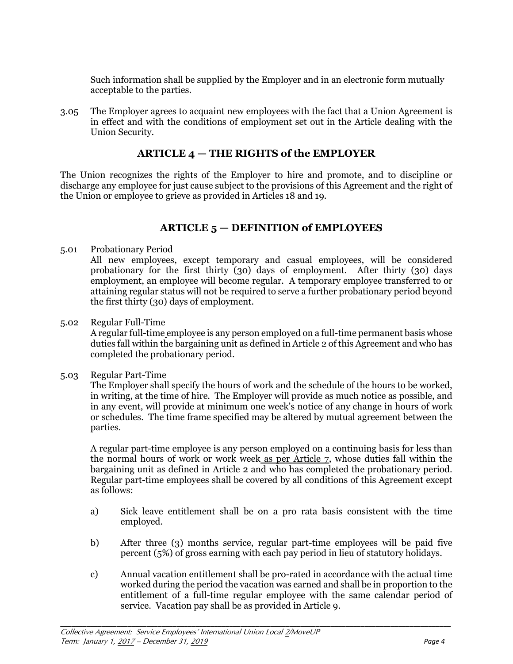Such information shall be supplied by the Employer and in an electronic form mutually acceptable to the parties.

3.05 The Employer agrees to acquaint new employees with the fact that a Union Agreement is in effect and with the conditions of employment set out in the Article dealing with the Union Security.

## **ARTICLE 4 — THE RIGHTS of the EMPLOYER**

The Union recognizes the rights of the Employer to hire and promote, and to discipline or discharge any employee for just cause subject to the provisions of this Agreement and the right of the Union or employee to grieve as provided in Articles 18 and 19.

## **ARTICLE 5 — DEFINITION of EMPLOYEES**

5.01 Probationary Period

All new employees, except temporary and casual employees, will be considered probationary for the first thirty (30) days of employment. After thirty (30) days employment, an employee will become regular. A temporary employee transferred to or attaining regular status will not be required to serve a further probationary period beyond the first thirty (30) days of employment.

5.02 Regular Full-Time

A regular full-time employee is any person employed on a full-time permanent basis whose duties fall within the bargaining unit as defined in Article 2 of this Agreement and who has completed the probationary period.

5.03 Regular Part-Time

The Employer shall specify the hours of work and the schedule of the hours to be worked, in writing, at the time of hire. The Employer will provide as much notice as possible, and in any event, will provide at minimum one week's notice of any change in hours of work or schedules. The time frame specified may be altered by mutual agreement between the parties.

A regular part-time employee is any person employed on a continuing basis for less than the normal hours of work or work week as per Article 7, whose duties fall within the bargaining unit as defined in Article 2 and who has completed the probationary period. Regular part-time employees shall be covered by all conditions of this Agreement except as follows:

- a) Sick leave entitlement shall be on a pro rata basis consistent with the time employed.
- b) After three (3) months service, regular part-time employees will be paid five percent (5%) of gross earning with each pay period in lieu of statutory holidays.
- c) Annual vacation entitlement shall be pro-rated in accordance with the actual time worked during the period the vacation was earned and shall be in proportion to the entitlement of a full-time regular employee with the same calendar period of service. Vacation pay shall be as provided in Article 9.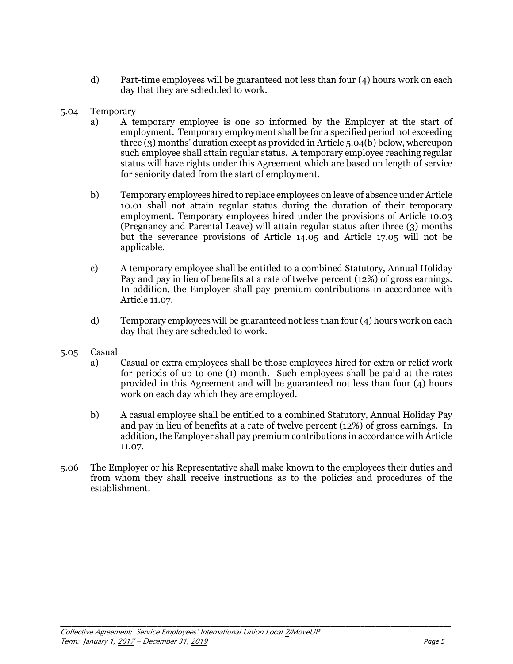- d) Part-time employees will be guaranteed not less than four (4) hours work on each day that they are scheduled to work.
- 5.04 Temporary
	- a) A temporary employee is one so informed by the Employer at the start of employment. Temporary employment shall be for a specified period not exceeding three (3) months' duration except as provided in Article 5.04(b) below, whereupon such employee shall attain regular status. A temporary employee reaching regular status will have rights under this Agreement which are based on length of service for seniority dated from the start of employment.
	- b) Temporary employees hired to replace employees on leave of absence under Article 10.01 shall not attain regular status during the duration of their temporary employment. Temporary employees hired under the provisions of Article 10.03 (Pregnancy and Parental Leave) will attain regular status after three (3) months but the severance provisions of Article 14.05 and Article 17.05 will not be applicable.
	- c) A temporary employee shall be entitled to a combined Statutory, Annual Holiday Pay and pay in lieu of benefits at a rate of twelve percent (12%) of gross earnings. In addition, the Employer shall pay premium contributions in accordance with Article 11.07.
	- d) Temporary employees will be guaranteed not less than four (4) hours work on each day that they are scheduled to work.
- 5.05 Casual
	- a) Casual or extra employees shall be those employees hired for extra or relief work for periods of up to one (1) month. Such employees shall be paid at the rates provided in this Agreement and will be guaranteed not less than four (4) hours work on each day which they are employed.
	- b) A casual employee shall be entitled to a combined Statutory, Annual Holiday Pay and pay in lieu of benefits at a rate of twelve percent (12%) of gross earnings. In addition, the Employer shall pay premium contributions in accordance with Article 11.07.
- 5.06 The Employer or his Representative shall make known to the employees their duties and from whom they shall receive instructions as to the policies and procedures of the establishment.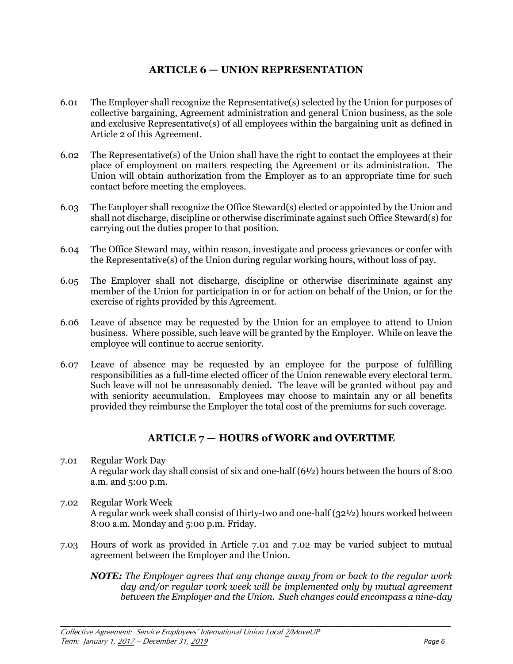## **ARTICLE 6 — UNION REPRESENTATION**

- 6.01 The Employer shall recognize the Representative(s) selected by the Union for purposes of collective bargaining, Agreement administration and general Union business, as the sole and exclusive Representative(s) of all employees within the bargaining unit as defined in Article 2 of this Agreement.
- 6.02 The Representative(s) of the Union shall have the right to contact the employees at their place of employment on matters respecting the Agreement or its administration. The Union will obtain authorization from the Employer as to an appropriate time for such contact before meeting the employees.
- 6.03 The Employer shall recognize the Office Steward(s) elected or appointed by the Union and shall not discharge, discipline or otherwise discriminate against such Office Steward(s) for carrying out the duties proper to that position.
- 6.04 The Office Steward may, within reason, investigate and process grievances or confer with the Representative(s) of the Union during regular working hours, without loss of pay.
- 6.05 The Employer shall not discharge, discipline or otherwise discriminate against any member of the Union for participation in or for action on behalf of the Union, or for the exercise of rights provided by this Agreement.
- 6.06 Leave of absence may be requested by the Union for an employee to attend to Union business. Where possible, such leave will be granted by the Employer. While on leave the employee will continue to accrue seniority.
- 6.07 Leave of absence may be requested by an employee for the purpose of fulfilling responsibilities as a full-time elected officer of the Union renewable every electoral term. Such leave will not be unreasonably denied. The leave will be granted without pay and with seniority accumulation. Employees may choose to maintain any or all benefits provided they reimburse the Employer the total cost of the premiums for such coverage.

## **ARTICLE 7 — HOURS of WORK and OVERTIME**

- 7.01 Regular Work Day A regular work day shall consist of six and one-half (6½) hours between the hours of 8:00 a.m. and 5:00 p.m.
- 7.02 Regular Work Week A regular work week shall consist of thirty-two and one-half (32½) hours worked between 8:00 a.m. Monday and 5:00 p.m. Friday.
- 7.03 Hours of work as provided in Article 7.01 and 7.02 may be varied subject to mutual agreement between the Employer and the Union.

**\_\_\_\_\_\_\_\_\_\_\_\_\_\_\_\_\_\_\_\_\_\_\_\_\_\_\_\_\_\_\_\_\_\_\_\_\_\_\_\_\_\_\_\_\_\_\_\_\_\_\_\_\_\_\_\_\_\_\_\_\_\_\_\_\_\_\_\_\_\_\_\_\_\_\_\_\_\_\_\_\_\_\_\_\_\_\_\_\_\_\_\_\_\_\_\_\_\_\_\_\_\_\_\_** 

*NOTE: The Employer agrees that any change away from or back to the regular work day and/or regular work week will be implemented only by mutual agreement between the Employer and the Union. Such changes could encompass a nine-day*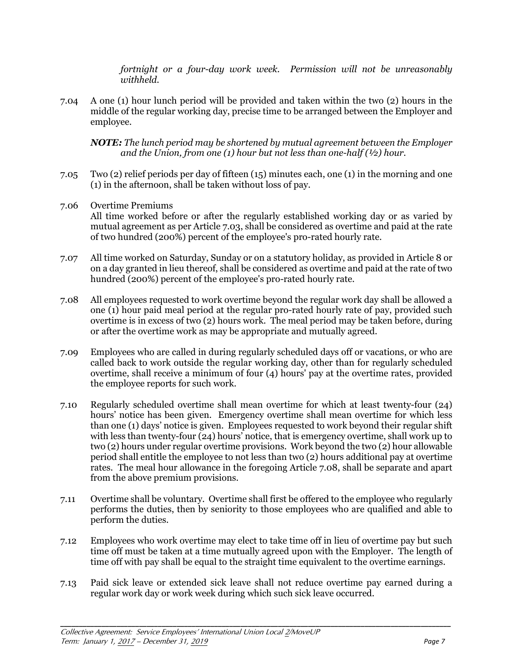*fortnight or a four-day work week. Permission will not be unreasonably withheld.*

7.04 A one (1) hour lunch period will be provided and taken within the two (2) hours in the middle of the regular working day, precise time to be arranged between the Employer and employee.

*NOTE: The lunch period may be shortened by mutual agreement between the Employer and the Union, from one (1) hour but not less than one-half (½) hour.*

- 7.05 Two (2) relief periods per day of fifteen (15) minutes each, one (1) in the morning and one (1) in the afternoon, shall be taken without loss of pay.
- 7.06 Overtime Premiums All time worked before or after the regularly established working day or as varied by mutual agreement as per Article 7.03, shall be considered as overtime and paid at the rate of two hundred (200%) percent of the employee's pro-rated hourly rate.
- 7.07 All time worked on Saturday, Sunday or on a statutory holiday, as provided in Article 8 or on a day granted in lieu thereof, shall be considered as overtime and paid at the rate of two hundred (200%) percent of the employee's pro-rated hourly rate.
- 7.08 All employees requested to work overtime beyond the regular work day shall be allowed a one (1) hour paid meal period at the regular pro-rated hourly rate of pay, provided such overtime is in excess of two (2) hours work. The meal period may be taken before, during or after the overtime work as may be appropriate and mutually agreed.
- 7.09 Employees who are called in during regularly scheduled days off or vacations, or who are called back to work outside the regular working day, other than for regularly scheduled overtime, shall receive a minimum of four (4) hours' pay at the overtime rates, provided the employee reports for such work.
- 7.10 Regularly scheduled overtime shall mean overtime for which at least twenty-four (24) hours' notice has been given. Emergency overtime shall mean overtime for which less than one (1) days' notice is given. Employees requested to work beyond their regular shift with less than twenty-four (24) hours' notice, that is emergency overtime, shall work up to two (2) hours under regular overtime provisions. Work beyond the two (2) hour allowable period shall entitle the employee to not less than two (2) hours additional pay at overtime rates. The meal hour allowance in the foregoing Article 7.08, shall be separate and apart from the above premium provisions.
- 7.11 Overtime shall be voluntary. Overtime shall first be offered to the employee who regularly performs the duties, then by seniority to those employees who are qualified and able to perform the duties.
- 7.12 Employees who work overtime may elect to take time off in lieu of overtime pay but such time off must be taken at a time mutually agreed upon with the Employer. The length of time off with pay shall be equal to the straight time equivalent to the overtime earnings.
- 7.13 Paid sick leave or extended sick leave shall not reduce overtime pay earned during a regular work day or work week during which such sick leave occurred.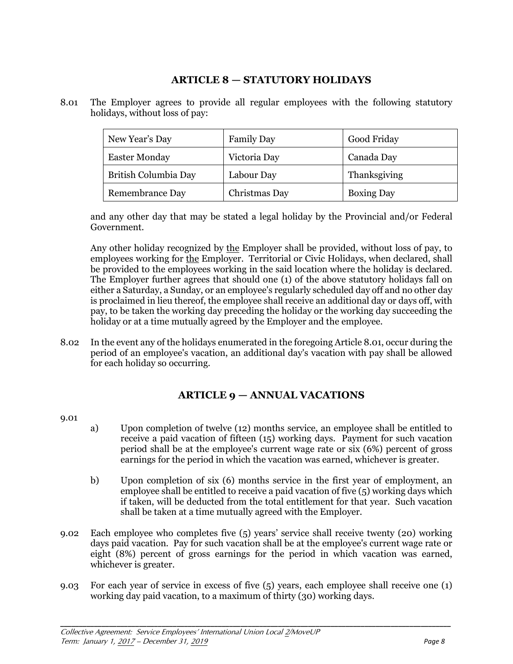## **ARTICLE 8 — STATUTORY HOLIDAYS**

8.01 The Employer agrees to provide all regular employees with the following statutory holidays, without loss of pay:

| New Year's Day         | <b>Family Day</b> | Good Friday       |
|------------------------|-------------------|-------------------|
| <b>Easter Monday</b>   | Victoria Day      | Canada Day        |
| British Columbia Day   | Labour Day        | Thanksgiving      |
| <b>Remembrance Day</b> | Christmas Day     | <b>Boxing Day</b> |

and any other day that may be stated a legal holiday by the Provincial and/or Federal Government.

Any other holiday recognized by the Employer shall be provided, without loss of pay, to employees working for the Employer. Territorial or Civic Holidays, when declared, shall be provided to the employees working in the said location where the holiday is declared. The Employer further agrees that should one (1) of the above statutory holidays fall on either a Saturday, a Sunday, or an employee's regularly scheduled day off and no other day is proclaimed in lieu thereof, the employee shall receive an additional day or days off, with pay, to be taken the working day preceding the holiday or the working day succeeding the holiday or at a time mutually agreed by the Employer and the employee.

8.02 In the event any of the holidays enumerated in the foregoing Article 8.01, occur during the period of an employee's vacation, an additional day's vacation with pay shall be allowed for each holiday so occurring.

## **ARTICLE 9 — ANNUAL VACATIONS**

9.01

- a) Upon completion of twelve (12) months service, an employee shall be entitled to receive a paid vacation of fifteen (15) working days. Payment for such vacation period shall be at the employee's current wage rate or six (6%) percent of gross earnings for the period in which the vacation was earned, whichever is greater.
- b) Upon completion of six (6) months service in the first year of employment, an employee shall be entitled to receive a paid vacation of five (5) working days which if taken, will be deducted from the total entitlement for that year. Such vacation shall be taken at a time mutually agreed with the Employer.
- 9.02 Each employee who completes five (5) years' service shall receive twenty (20) working days paid vacation. Pay for such vacation shall be at the employee's current wage rate or eight (8%) percent of gross earnings for the period in which vacation was earned, whichever is greater.
- 9.03 For each year of service in excess of five (5) years, each employee shall receive one (1) working day paid vacation, to a maximum of thirty (30) working days.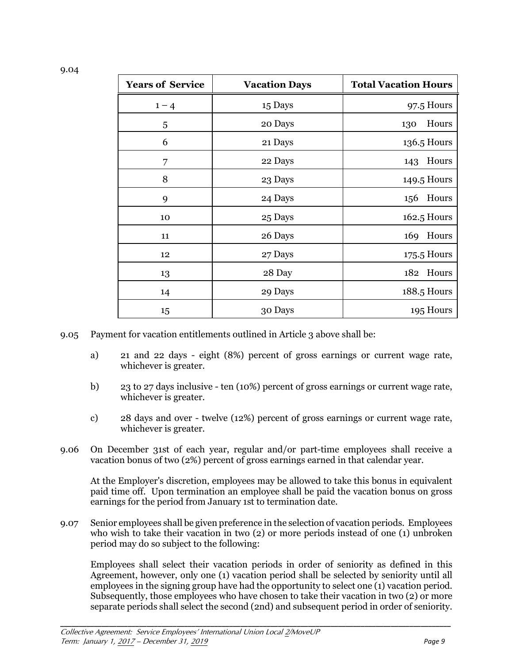| <b>Years of Service</b> | <b>Vacation Days</b> | <b>Total Vacation Hours</b> |
|-------------------------|----------------------|-----------------------------|
| $1 - 4$                 | 15 Days              | 97.5 Hours                  |
| 5                       | 20 Days              | Hours<br>130                |
| 6                       | 21 Days              | 136.5 Hours                 |
| 7                       | 22 Days              | Hours<br>143                |
| 8                       | 23 Days              | 149.5 Hours                 |
| 9                       | 24 Days              | 156 Hours                   |
| 10                      | 25 Days              | 162.5 Hours                 |
| 11                      | 26 Days              | 169 Hours                   |
| 12                      | 27 Days              | 175.5 Hours                 |
| 13                      | 28 Day               | 182 Hours                   |
| 14                      | 29 Days              | 188.5 Hours                 |
| 15                      | 30 Days              | 195 Hours                   |

- 9.05 Payment for vacation entitlements outlined in Article 3 above shall be:
	- a) 21 and 22 days eight (8%) percent of gross earnings or current wage rate, whichever is greater.
	- b) 23 to 27 days inclusive ten (10%) percent of gross earnings or current wage rate, whichever is greater.
	- c) 28 days and over twelve (12%) percent of gross earnings or current wage rate, whichever is greater.
- 9.06 On December 31st of each year, regular and/or part-time employees shall receive a vacation bonus of two (2%) percent of gross earnings earned in that calendar year.

At the Employer's discretion, employees may be allowed to take this bonus in equivalent paid time off. Upon termination an employee shall be paid the vacation bonus on gross earnings for the period from January 1st to termination date.

9.07 Senior employees shall be given preference in the selection of vacation periods. Employees who wish to take their vacation in two (2) or more periods instead of one (1) unbroken period may do so subject to the following:

**\_\_\_\_\_\_\_\_\_\_\_\_\_\_\_\_\_\_\_\_\_\_\_\_\_\_\_\_\_\_\_\_\_\_\_\_\_\_\_\_\_\_\_\_\_\_\_\_\_\_\_\_\_\_\_\_\_\_\_\_\_\_\_\_\_\_\_\_\_\_\_\_\_\_\_\_\_\_\_\_\_\_\_\_\_\_\_\_\_\_\_\_\_\_\_\_\_\_\_\_\_\_\_\_** 

Employees shall select their vacation periods in order of seniority as defined in this Agreement, however, only one (1) vacation period shall be selected by seniority until all employees in the signing group have had the opportunity to select one (1) vacation period. Subsequently, those employees who have chosen to take their vacation in two (2) or more separate periods shall select the second (2nd) and subsequent period in order of seniority.

9.04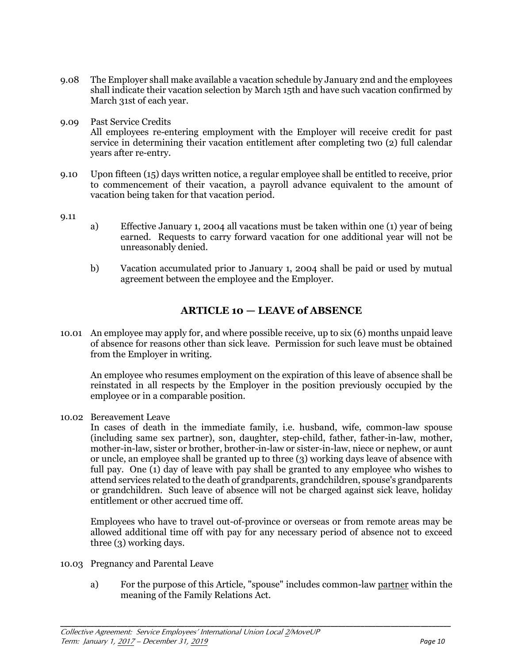- 9.08 The Employer shall make available a vacation schedule by January 2nd and the employees shall indicate their vacation selection by March 15th and have such vacation confirmed by March 31st of each year.
- 9.09 Past Service Credits All employees re-entering employment with the Employer will receive credit for past service in determining their vacation entitlement after completing two (2) full calendar years after re-entry.
- 9.10 Upon fifteen (15) days written notice, a regular employee shall be entitled to receive, prior to commencement of their vacation, a payroll advance equivalent to the amount of vacation being taken for that vacation period.
- 9.11
- a) Effective January 1, 2004 all vacations must be taken within one (1) year of being earned. Requests to carry forward vacation for one additional year will not be unreasonably denied.
- b) Vacation accumulated prior to January 1, 2004 shall be paid or used by mutual agreement between the employee and the Employer.

## **ARTICLE 10 — LEAVE of ABSENCE**

10.01 An employee may apply for, and where possible receive, up to six (6) months unpaid leave of absence for reasons other than sick leave. Permission for such leave must be obtained from the Employer in writing.

An employee who resumes employment on the expiration of this leave of absence shall be reinstated in all respects by the Employer in the position previously occupied by the employee or in a comparable position.

10.02 Bereavement Leave

In cases of death in the immediate family, i.e. husband, wife, common-law spouse (including same sex partner), son, daughter, step-child, father, father-in-law, mother, mother-in-law, sister or brother, brother-in-law or sister-in-law, niece or nephew, or aunt or uncle, an employee shall be granted up to three (3) working days leave of absence with full pay. One (1) day of leave with pay shall be granted to any employee who wishes to attend services related to the death of grandparents, grandchildren, spouse's grandparents or grandchildren. Such leave of absence will not be charged against sick leave, holiday entitlement or other accrued time off.

Employees who have to travel out-of-province or overseas or from remote areas may be allowed additional time off with pay for any necessary period of absence not to exceed three (3) working days.

- 10.03 Pregnancy and Parental Leave
	- a) For the purpose of this Article, "spouse" includes common-law partner within the meaning of the Family Relations Act.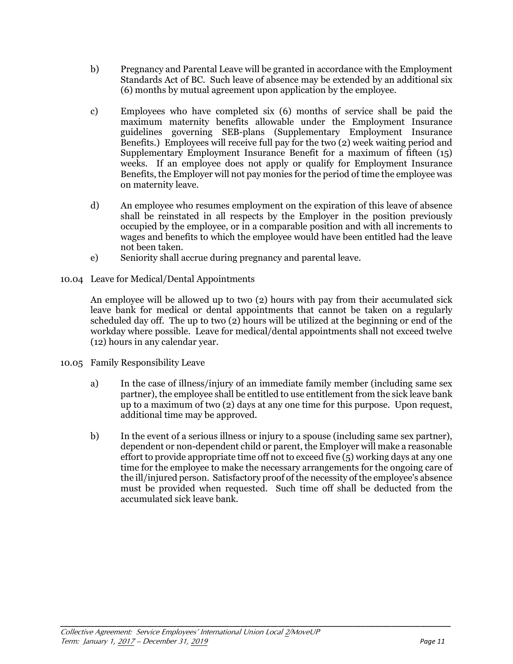- b) Pregnancy and Parental Leave will be granted in accordance with the Employment Standards Act of BC. Such leave of absence may be extended by an additional six (6) months by mutual agreement upon application by the employee.
- c) Employees who have completed six (6) months of service shall be paid the maximum maternity benefits allowable under the Employment Insurance guidelines governing SEB-plans (Supplementary Employment Insurance Benefits.) Employees will receive full pay for the two (2) week waiting period and Supplementary Employment Insurance Benefit for a maximum of fifteen (15) weeks. If an employee does not apply or qualify for Employment Insurance Benefits, the Employer will not pay monies for the period of time the employee was on maternity leave.
- d) An employee who resumes employment on the expiration of this leave of absence shall be reinstated in all respects by the Employer in the position previously occupied by the employee, or in a comparable position and with all increments to wages and benefits to which the employee would have been entitled had the leave not been taken.
- e) Seniority shall accrue during pregnancy and parental leave.
- 10.04 Leave for Medical/Dental Appointments

An employee will be allowed up to two (2) hours with pay from their accumulated sick leave bank for medical or dental appointments that cannot be taken on a regularly scheduled day off. The up to two (2) hours will be utilized at the beginning or end of the workday where possible. Leave for medical/dental appointments shall not exceed twelve (12) hours in any calendar year.

- 10.05 Family Responsibility Leave
	- a) In the case of illness/injury of an immediate family member (including same sex partner), the employee shall be entitled to use entitlement from the sick leave bank up to a maximum of two (2) days at any one time for this purpose. Upon request, additional time may be approved.
	- b) In the event of a serious illness or injury to a spouse (including same sex partner), dependent or non-dependent child or parent, the Employer will make a reasonable effort to provide appropriate time off not to exceed five  $(5)$  working days at any one time for the employee to make the necessary arrangements for the ongoing care of the ill/injured person. Satisfactory proof of the necessity of the employee's absence must be provided when requested. Such time off shall be deducted from the accumulated sick leave bank.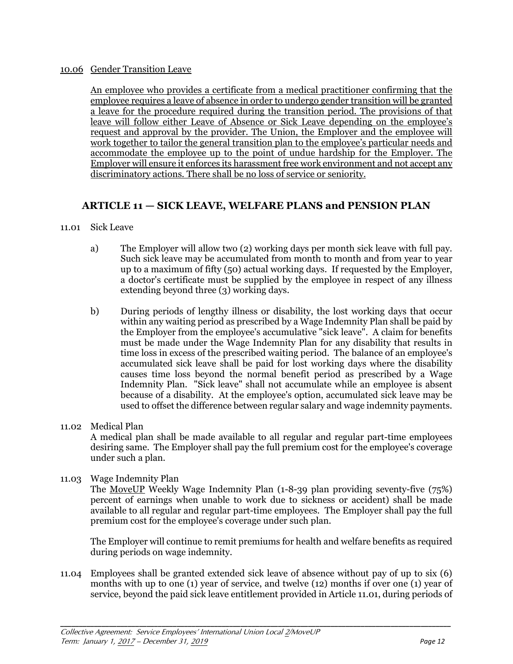#### 10.06 Gender Transition Leave

An employee who provides a certificate from a medical practitioner confirming that the employee requires a leave of absence in order to undergo gender transition will be granted a leave for the procedure required during the transition period. The provisions of that leave will follow either Leave of Absence or Sick Leave depending on the employee's request and approval by the provider. The Union, the Employer and the employee will work together to tailor the general transition plan to the employee's particular needs and accommodate the employee up to the point of undue hardship for the Employer. The Employer will ensure it enforces its harassment free work environment and not accept any discriminatory actions. There shall be no loss of service or seniority.

## **ARTICLE 11 — SICK LEAVE, WELFARE PLANS and PENSION PLAN**

#### 11.01 Sick Leave

- a) The Employer will allow two (2) working days per month sick leave with full pay. Such sick leave may be accumulated from month to month and from year to year up to a maximum of fifty (50) actual working days. If requested by the Employer, a doctor's certificate must be supplied by the employee in respect of any illness extending beyond three (3) working days.
- b) During periods of lengthy illness or disability, the lost working days that occur within any waiting period as prescribed by a Wage Indemnity Plan shall be paid by the Employer from the employee's accumulative "sick leave". A claim for benefits must be made under the Wage Indemnity Plan for any disability that results in time loss in excess of the prescribed waiting period. The balance of an employee's accumulated sick leave shall be paid for lost working days where the disability causes time loss beyond the normal benefit period as prescribed by a Wage Indemnity Plan. "Sick leave" shall not accumulate while an employee is absent because of a disability. At the employee's option, accumulated sick leave may be used to offset the difference between regular salary and wage indemnity payments.
- 11.02 Medical Plan A medical plan shall be made available to all regular and regular part-time employees desiring same. The Employer shall pay the full premium cost for the employee's coverage under such a plan.

#### 11.03 Wage Indemnity Plan

The MoveUP Weekly Wage Indemnity Plan (1-8-39 plan providing seventy-five (75%) percent of earnings when unable to work due to sickness or accident) shall be made available to all regular and regular part-time employees. The Employer shall pay the full premium cost for the employee's coverage under such plan.

The Employer will continue to remit premiums for health and welfare benefits as required during periods on wage indemnity.

11.04 Employees shall be granted extended sick leave of absence without pay of up to six (6) months with up to one (1) year of service, and twelve (12) months if over one (1) year of service, beyond the paid sick leave entitlement provided in Article 11.01, during periods of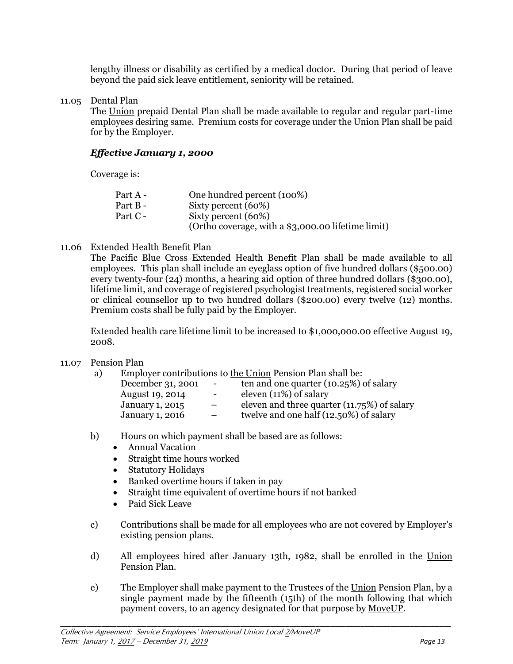lengthy illness or disability as certified by a medical doctor. During that period of leave beyond the paid sick leave entitlement, seniority will be retained.

#### 11.05 Dental Plan

The Union prepaid Dental Plan shall be made available to regular and regular part-time employees desiring same. Premium costs for coverage under the Union Plan shall be paid for by the Employer.

#### *Effective January 1, 2000*

Coverage is:

| Part A - | One hundred percent (100%)                         |
|----------|----------------------------------------------------|
| Part B-  | Sixty percent (60%)                                |
| Part C - | Sixty percent (60%)                                |
|          | (Ortho coverage, with a \$3,000.00 lifetime limit) |

#### 11.06 Extended Health Benefit Plan

The Pacific Blue Cross Extended Health Benefit Plan shall be made available to all employees. This plan shall include an eyeglass option of five hundred dollars (\$500.00) every twenty-four (24) months, a hearing aid option of three hundred dollars (\$300.00), lifetime limit, and coverage of registered psychologist treatments, registered social worker or clinical counsellor up to two hundred dollars (\$200.00) every twelve (12) months. Premium costs shall be fully paid by the Employer.

Extended health care lifetime limit to be increased to \$1,000,000.00 effective August 19, 2008.

#### 11.07 Pension Plan

a) Employer contributions to the Union Pension Plan shall be:

| December 31, 2001      | $\sim$ .                 | ten and one quarter (10.25%) of salary      |
|------------------------|--------------------------|---------------------------------------------|
| August 19, 2014        | $\overline{\phantom{a}}$ | eleven $(11\%)$ of salary                   |
| <b>January 1, 2015</b> |                          | eleven and three quarter (11.75%) of salary |
| <b>January 1, 2016</b> | $\overline{\phantom{a}}$ | twelve and one half (12.50%) of salary      |
|                        |                          |                                             |

- b) Hours on which payment shall be based are as follows:
	- Annual Vacation
	- Straight time hours worked
	- Statutory Holidays
	- Banked overtime hours if taken in pay
	- Straight time equivalent of overtime hours if not banked
	- Paid Sick Leave
- c) Contributions shall be made for all employees who are not covered by Employer's existing pension plans.
- d) All employees hired after January 13th, 1982, shall be enrolled in the Union Pension Plan.
- e) The Employer shall make payment to the Trustees of the Union Pension Plan, by a single payment made by the fifteenth (15th) of the month following that which payment covers, to an agency designated for that purpose by MoveUP.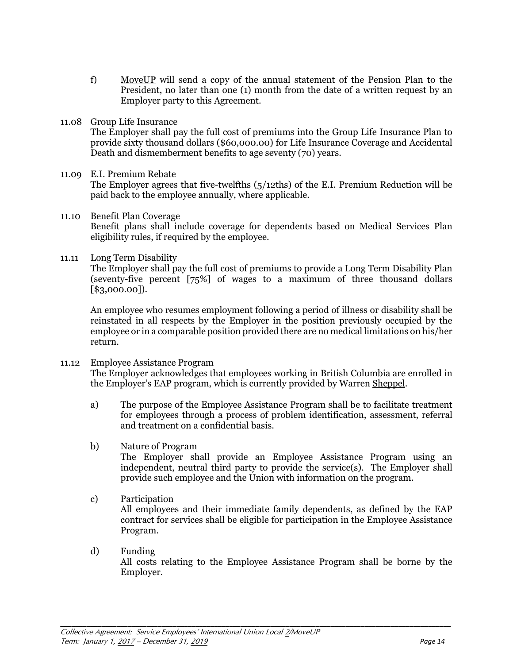- f) MoveUP will send a copy of the annual statement of the Pension Plan to the President, no later than one (1) month from the date of a written request by an Employer party to this Agreement.
- 11.08 Group Life Insurance

The Employer shall pay the full cost of premiums into the Group Life Insurance Plan to provide sixty thousand dollars (\$60,000.00) for Life Insurance Coverage and Accidental Death and dismemberment benefits to age seventy (70) years.

#### 11.09 E.I. Premium Rebate

The Employer agrees that five-twelfths (5/12ths) of the E.I. Premium Reduction will be paid back to the employee annually, where applicable.

- 11.10 Benefit Plan Coverage Benefit plans shall include coverage for dependents based on Medical Services Plan eligibility rules, if required by the employee.
- 11.11 Long Term Disability

The Employer shall pay the full cost of premiums to provide a Long Term Disability Plan (seventy-five percent [75%] of wages to a maximum of three thousand dollars [\$3,000.00]).

An employee who resumes employment following a period of illness or disability shall be reinstated in all respects by the Employer in the position previously occupied by the employee or in a comparable position provided there are no medical limitations on his/her return.

11.12 Employee Assistance Program

The Employer acknowledges that employees working in British Columbia are enrolled in the Employer's EAP program, which is currently provided by Warren Sheppel.

- a) The purpose of the Employee Assistance Program shall be to facilitate treatment for employees through a process of problem identification, assessment, referral and treatment on a confidential basis.
- b) Nature of Program

The Employer shall provide an Employee Assistance Program using an independent, neutral third party to provide the service(s). The Employer shall provide such employee and the Union with information on the program.

- c) Participation All employees and their immediate family dependents, as defined by the EAP contract for services shall be eligible for participation in the Employee Assistance Program.
- d) Funding All costs relating to the Employee Assistance Program shall be borne by the Employer.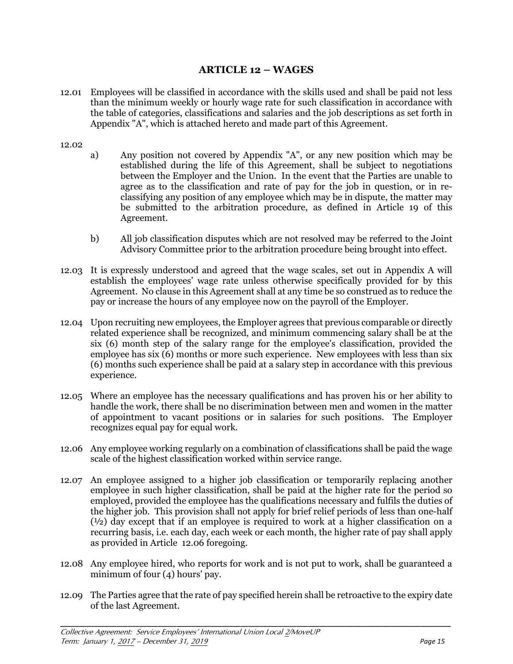## **ARTICLE 12 – WAGES**

12.01 Employees will be classified in accordance with the skills used and shall be paid not less than the minimum weekly or hourly wage rate for such classification in accordance with the table of categories, classifications and salaries and the job descriptions as set forth in Appendix "A", which is attached hereto and made part of this Agreement.

#### 12.02

- a) Any position not covered by Appendix "A", or any new position which may be established during the life of this Agreement, shall be subject to negotiations between the Employer and the Union. In the event that the Parties are unable to agree as to the classification and rate of pay for the job in question, or in reclassifying any position of any employee which may be in dispute, the matter may be submitted to the arbitration procedure, as defined in Article 19 of this Agreement.
- b) All job classification disputes which are not resolved may be referred to the Joint Advisory Committee prior to the arbitration procedure being brought into effect.
- 12.03 It is expressly understood and agreed that the wage scales, set out in Appendix A will establish the employees' wage rate unless otherwise specifically provided for by this Agreement. No clause in this Agreement shall at any time be so construed as to reduce the pay or increase the hours of any employee now on the payroll of the Employer.
- 12.04 Upon recruiting new employees, the Employer agrees that previous comparable or directly related experience shall be recognized, and minimum commencing salary shall be at the six (6) month step of the salary range for the employee's classification, provided the employee has six (6) months or more such experience. New employees with less than six (6) months such experience shall be paid at a salary step in accordance with this previous experience.
- 12.05 Where an employee has the necessary qualifications and has proven his or her ability to handle the work, there shall be no discrimination between men and women in the matter of appointment to vacant positions or in salaries for such positions. The Employer recognizes equal pay for equal work.
- 12.06 Any employee working regularly on a combination of classifications shall be paid the wage scale of the highest classification worked within service range.
- 12.07 An employee assigned to a higher job classification or temporarily replacing another employee in such higher classification, shall be paid at the higher rate for the period so employed, provided the employee has the qualifications necessary and fulfils the duties of the higher job. This provision shall not apply for brief relief periods of less than one-half (½) day except that if an employee is required to work at a higher classification on a recurring basis, i.e. each day, each week or each month, the higher rate of pay shall apply as provided in Article 12.06 foregoing.
- 12.08 Any employee hired, who reports for work and is not put to work, shall be guaranteed a minimum of four (4) hours' pay.
- 12.09 The Parties agree that the rate of pay specified herein shall be retroactive to the expiry date of the last Agreement.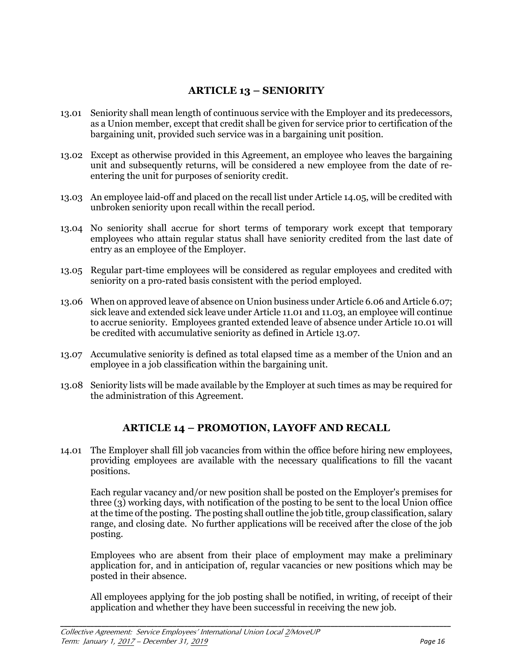## **ARTICLE 13 – SENIORITY**

- 13.01 Seniority shall mean length of continuous service with the Employer and its predecessors, as a Union member, except that credit shall be given for service prior to certification of the bargaining unit, provided such service was in a bargaining unit position.
- 13.02 Except as otherwise provided in this Agreement, an employee who leaves the bargaining unit and subsequently returns, will be considered a new employee from the date of reentering the unit for purposes of seniority credit.
- 13.03 An employee laid-off and placed on the recall list under Article 14.05, will be credited with unbroken seniority upon recall within the recall period.
- 13.04 No seniority shall accrue for short terms of temporary work except that temporary employees who attain regular status shall have seniority credited from the last date of entry as an employee of the Employer.
- 13.05 Regular part-time employees will be considered as regular employees and credited with seniority on a pro-rated basis consistent with the period employed.
- 13.06 When on approved leave of absence on Union business under Article 6.06 and Article 6.07; sick leave and extended sick leave under Article 11.01 and 11.03, an employee will continue to accrue seniority. Employees granted extended leave of absence under Article 10.01 will be credited with accumulative seniority as defined in Article 13.07.
- 13.07 Accumulative seniority is defined as total elapsed time as a member of the Union and an employee in a job classification within the bargaining unit.
- 13.08 Seniority lists will be made available by the Employer at such times as may be required for the administration of this Agreement.

## **ARTICLE 14 – PROMOTION, LAYOFF AND RECALL**

14.01 The Employer shall fill job vacancies from within the office before hiring new employees, providing employees are available with the necessary qualifications to fill the vacant positions.

Each regular vacancy and/or new position shall be posted on the Employer's premises for three (3) working days, with notification of the posting to be sent to the local Union office at the time of the posting. The posting shall outline the job title, group classification, salary range, and closing date. No further applications will be received after the close of the job posting.

Employees who are absent from their place of employment may make a preliminary application for, and in anticipation of, regular vacancies or new positions which may be posted in their absence.

All employees applying for the job posting shall be notified, in writing, of receipt of their application and whether they have been successful in receiving the new job.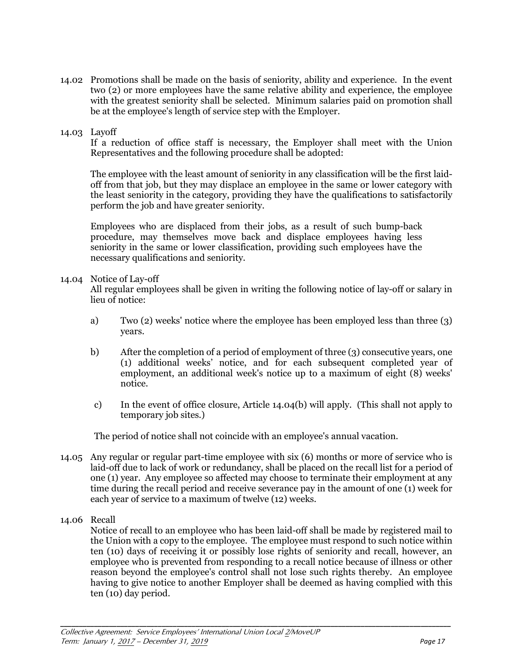14.02 Promotions shall be made on the basis of seniority, ability and experience. In the event two (2) or more employees have the same relative ability and experience, the employee with the greatest seniority shall be selected. Minimum salaries paid on promotion shall be at the employee's length of service step with the Employer.

#### 14.03 Layoff

If a reduction of office staff is necessary, the Employer shall meet with the Union Representatives and the following procedure shall be adopted:

The employee with the least amount of seniority in any classification will be the first laidoff from that job, but they may displace an employee in the same or lower category with the least seniority in the category, providing they have the qualifications to satisfactorily perform the job and have greater seniority.

Employees who are displaced from their jobs, as a result of such bump-back procedure, may themselves move back and displace employees having less seniority in the same or lower classification, providing such employees have the necessary qualifications and seniority.

#### 14.04 Notice of Lay-off

 All regular employees shall be given in writing the following notice of lay-off or salary in lieu of notice:

- a) Two (2) weeks' notice where the employee has been employed less than three (3) years.
- b) After the completion of a period of employment of three (3) consecutive years, one (1) additional weeks' notice, and for each subsequent completed year of employment, an additional week's notice up to a maximum of eight (8) weeks' notice.
- c) In the event of office closure, Article 14.04(b) will apply. (This shall not apply to temporary job sites.)

The period of notice shall not coincide with an employee's annual vacation.

- 14.05 Any regular or regular part-time employee with six (6) months or more of service who is laid-off due to lack of work or redundancy, shall be placed on the recall list for a period of one (1) year. Any employee so affected may choose to terminate their employment at any time during the recall period and receive severance pay in the amount of one (1) week for each year of service to a maximum of twelve (12) weeks.
- 14.06 Recall

Notice of recall to an employee who has been laid-off shall be made by registered mail to the Union with a copy to the employee. The employee must respond to such notice within ten (10) days of receiving it or possibly lose rights of seniority and recall, however, an employee who is prevented from responding to a recall notice because of illness or other reason beyond the employee's control shall not lose such rights thereby. An employee having to give notice to another Employer shall be deemed as having complied with this ten (10) day period.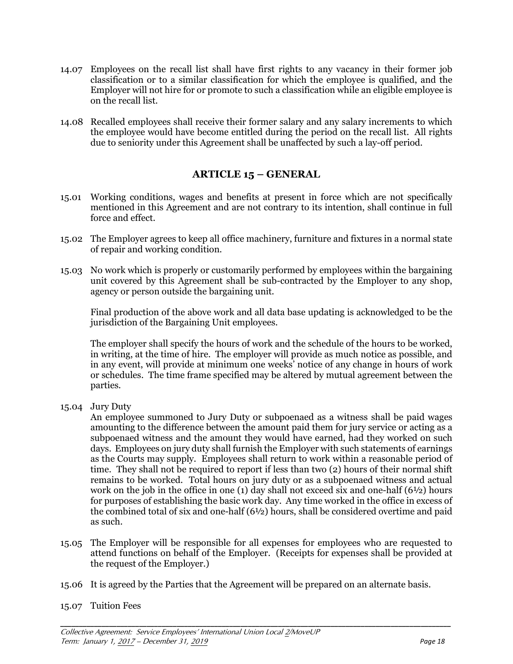- 14.07 Employees on the recall list shall have first rights to any vacancy in their former job classification or to a similar classification for which the employee is qualified, and the Employer will not hire for or promote to such a classification while an eligible employee is on the recall list.
- 14.08 Recalled employees shall receive their former salary and any salary increments to which the employee would have become entitled during the period on the recall list. All rights due to seniority under this Agreement shall be unaffected by such a lay-off period.

## **ARTICLE 15 – GENERAL**

- 15.01 Working conditions, wages and benefits at present in force which are not specifically mentioned in this Agreement and are not contrary to its intention, shall continue in full force and effect.
- 15.02 The Employer agrees to keep all office machinery, furniture and fixtures in a normal state of repair and working condition.
- 15.03 No work which is properly or customarily performed by employees within the bargaining unit covered by this Agreement shall be sub-contracted by the Employer to any shop, agency or person outside the bargaining unit.

Final production of the above work and all data base updating is acknowledged to be the jurisdiction of the Bargaining Unit employees.

The employer shall specify the hours of work and the schedule of the hours to be worked, in writing, at the time of hire. The employer will provide as much notice as possible, and in any event, will provide at minimum one weeks' notice of any change in hours of work or schedules. The time frame specified may be altered by mutual agreement between the parties.

15.04 Jury Duty

An employee summoned to Jury Duty or subpoenaed as a witness shall be paid wages amounting to the difference between the amount paid them for jury service or acting as a subpoenaed witness and the amount they would have earned, had they worked on such days. Employees on jury duty shall furnish the Employer with such statements of earnings as the Courts may supply. Employees shall return to work within a reasonable period of time. They shall not be required to report if less than two (2) hours of their normal shift remains to be worked. Total hours on jury duty or as a subpoenaed witness and actual work on the job in the office in one (1) day shall not exceed six and one-half  $(6\frac{1}{2})$  hours for purposes of establishing the basic work day. Any time worked in the office in excess of the combined total of six and one-half (6½) hours, shall be considered overtime and paid as such.

15.05 The Employer will be responsible for all expenses for employees who are requested to attend functions on behalf of the Employer. (Receipts for expenses shall be provided at the request of the Employer.)

- 15.06 It is agreed by the Parties that the Agreement will be prepared on an alternate basis.
- 15.07 Tuition Fees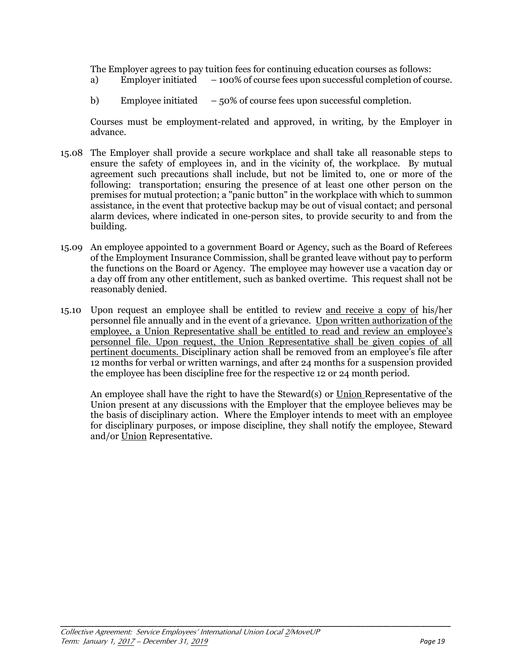The Employer agrees to pay tuition fees for continuing education courses as follows:

- a) Employer initiated 100% of course fees upon successful completion of course.
- b) Employee initiated  $-50\%$  of course fees upon successful completion.

Courses must be employment-related and approved, in writing, by the Employer in advance.

- 15.08 The Employer shall provide a secure workplace and shall take all reasonable steps to ensure the safety of employees in, and in the vicinity of, the workplace. By mutual agreement such precautions shall include, but not be limited to, one or more of the following: transportation; ensuring the presence of at least one other person on the premises for mutual protection; a "panic button" in the workplace with which to summon assistance, in the event that protective backup may be out of visual contact; and personal alarm devices, where indicated in one-person sites, to provide security to and from the building.
- 15.09 An employee appointed to a government Board or Agency, such as the Board of Referees of the Employment Insurance Commission, shall be granted leave without pay to perform the functions on the Board or Agency. The employee may however use a vacation day or a day off from any other entitlement, such as banked overtime. This request shall not be reasonably denied.
- 15.10 Upon request an employee shall be entitled to review and receive a copy of his/her personnel file annually and in the event of a grievance. Upon written authorization of the employee, a Union Representative shall be entitled to read and review an employee's personnel file. Upon request, the Union Representative shall be given copies of all pertinent documents. Disciplinary action shall be removed from an employee's file after 12 months for verbal or written warnings, and after 24 months for a suspension provided the employee has been discipline free for the respective 12 or 24 month period.

 An employee shall have the right to have the Steward(s) or Union Representative of the Union present at any discussions with the Employer that the employee believes may be the basis of disciplinary action. Where the Employer intends to meet with an employee for disciplinary purposes, or impose discipline, they shall notify the employee, Steward and/or Union Representative.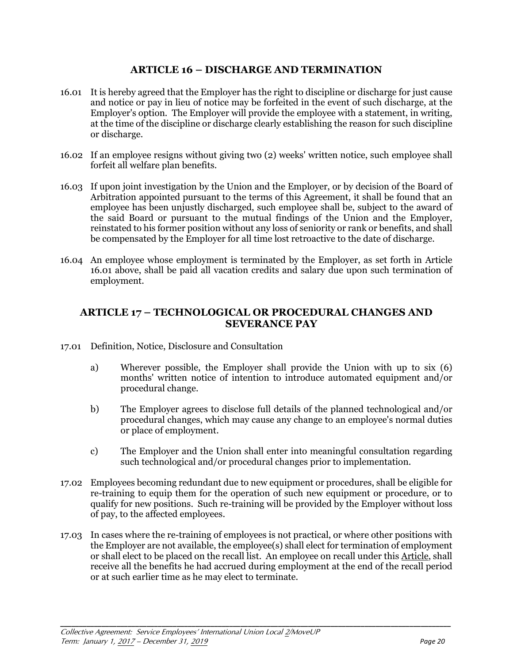## **ARTICLE 16 – DISCHARGE AND TERMINATION**

- 16.01 It is hereby agreed that the Employer has the right to discipline or discharge for just cause and notice or pay in lieu of notice may be forfeited in the event of such discharge, at the Employer's option. The Employer will provide the employee with a statement, in writing, at the time of the discipline or discharge clearly establishing the reason for such discipline or discharge.
- 16.02 If an employee resigns without giving two (2) weeks' written notice, such employee shall forfeit all welfare plan benefits.
- 16.03 If upon joint investigation by the Union and the Employer, or by decision of the Board of Arbitration appointed pursuant to the terms of this Agreement, it shall be found that an employee has been unjustly discharged, such employee shall be, subject to the award of the said Board or pursuant to the mutual findings of the Union and the Employer, reinstated to his former position without any loss of seniority or rank or benefits, and shall be compensated by the Employer for all time lost retroactive to the date of discharge.
- 16.04 An employee whose employment is terminated by the Employer, as set forth in Article 16.01 above, shall be paid all vacation credits and salary due upon such termination of employment.

## **ARTICLE 17 – TECHNOLOGICAL OR PROCEDURAL CHANGES AND SEVERANCE PAY**

- 17.01 Definition, Notice, Disclosure and Consultation
	- a) Wherever possible, the Employer shall provide the Union with up to six (6) months' written notice of intention to introduce automated equipment and/or procedural change.
	- b) The Employer agrees to disclose full details of the planned technological and/or procedural changes, which may cause any change to an employee's normal duties or place of employment.
	- c) The Employer and the Union shall enter into meaningful consultation regarding such technological and/or procedural changes prior to implementation.
- 17.02 Employees becoming redundant due to new equipment or procedures, shall be eligible for re-training to equip them for the operation of such new equipment or procedure, or to qualify for new positions. Such re-training will be provided by the Employer without loss of pay, to the affected employees.
- 17.03 In cases where the re-training of employees is not practical, or where other positions with the Employer are not available, the employee(s) shall elect for termination of employment or shall elect to be placed on the recall list. An employee on recall under this Article, shall receive all the benefits he had accrued during employment at the end of the recall period or at such earlier time as he may elect to terminate.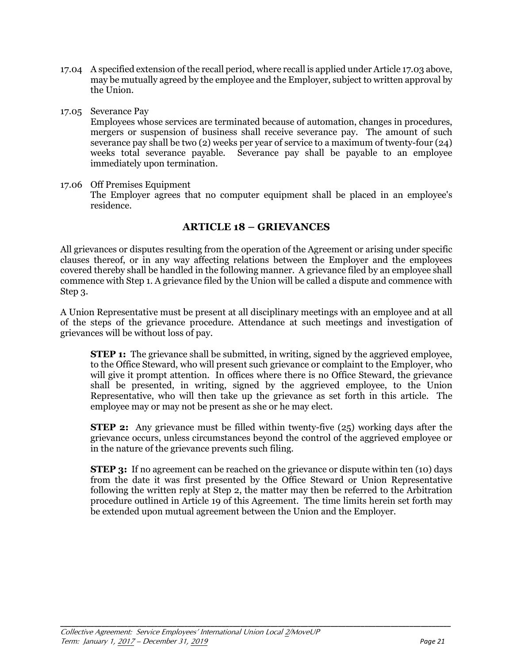- 17.04 A specified extension of the recall period, where recall is applied under Article 17.03 above, may be mutually agreed by the employee and the Employer, subject to written approval by the Union.
- 17.05 Severance Pay

Employees whose services are terminated because of automation, changes in procedures, mergers or suspension of business shall receive severance pay. The amount of such severance pay shall be two (2) weeks per year of service to a maximum of twenty-four (24) weeks total severance payable. Severance pay shall be payable to an employee immediately upon termination.

17.06 Off Premises Equipment The Employer agrees that no computer equipment shall be placed in an employee's residence.

## **ARTICLE 18 – GRIEVANCES**

All grievances or disputes resulting from the operation of the Agreement or arising under specific clauses thereof, or in any way affecting relations between the Employer and the employees covered thereby shall be handled in the following manner. A grievance filed by an employee shall commence with Step 1. A grievance filed by the Union will be called a dispute and commence with Step 3.

A Union Representative must be present at all disciplinary meetings with an employee and at all of the steps of the grievance procedure. Attendance at such meetings and investigation of grievances will be without loss of pay.

**STEP 1:** The grievance shall be submitted, in writing, signed by the aggrieved employee, to the Office Steward, who will present such grievance or complaint to the Employer, who will give it prompt attention. In offices where there is no Office Steward, the grievance shall be presented, in writing, signed by the aggrieved employee, to the Union Representative, who will then take up the grievance as set forth in this article. The employee may or may not be present as she or he may elect.

**STEP 2:** Any grievance must be filled within twenty-five (25) working days after the grievance occurs, unless circumstances beyond the control of the aggrieved employee or in the nature of the grievance prevents such filing.

**STEP 3:** If no agreement can be reached on the grievance or dispute within ten (10) days from the date it was first presented by the Office Steward or Union Representative following the written reply at Step 2, the matter may then be referred to the Arbitration procedure outlined in Article 19 of this Agreement. The time limits herein set forth may be extended upon mutual agreement between the Union and the Employer.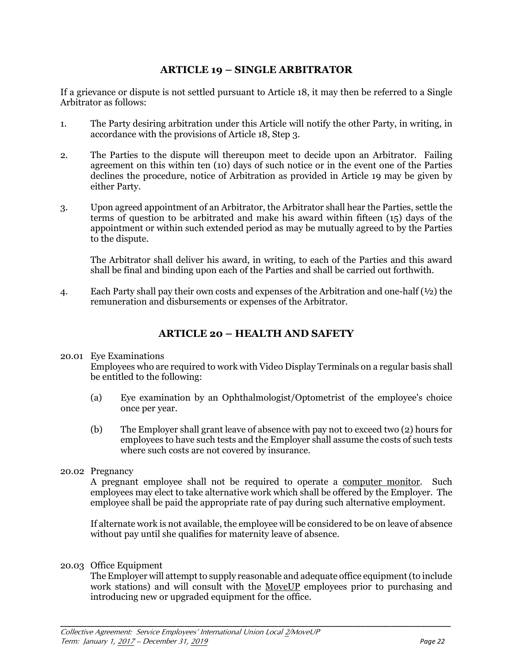## **ARTICLE 19 – SINGLE ARBITRATOR**

If a grievance or dispute is not settled pursuant to Article 18, it may then be referred to a Single Arbitrator as follows:

- 1. The Party desiring arbitration under this Article will notify the other Party, in writing, in accordance with the provisions of Article 18, Step 3.
- 2. The Parties to the dispute will thereupon meet to decide upon an Arbitrator. Failing agreement on this within ten (10) days of such notice or in the event one of the Parties declines the procedure, notice of Arbitration as provided in Article 19 may be given by either Party.
- 3. Upon agreed appointment of an Arbitrator, the Arbitrator shall hear the Parties, settle the terms of question to be arbitrated and make his award within fifteen (15) days of the appointment or within such extended period as may be mutually agreed to by the Parties to the dispute.

The Arbitrator shall deliver his award, in writing, to each of the Parties and this award shall be final and binding upon each of the Parties and shall be carried out forthwith.

4. Each Party shall pay their own costs and expenses of the Arbitration and one-half  $(½)$  the remuneration and disbursements or expenses of the Arbitrator.

## **ARTICLE 20 – HEALTH AND SAFETY**

#### 20.01 Eye Examinations

Employees who are required to work with Video Display Terminals on a regular basis shall be entitled to the following:

- (a) Eye examination by an Ophthalmologist/Optometrist of the employee's choice once per year.
- (b) The Employer shall grant leave of absence with pay not to exceed two (2) hours for employees to have such tests and the Employer shall assume the costs of such tests where such costs are not covered by insurance.

#### 20.02 Pregnancy

A pregnant employee shall not be required to operate a computer monitor. Such employees may elect to take alternative work which shall be offered by the Employer. The employee shall be paid the appropriate rate of pay during such alternative employment.

If alternate work is not available, the employee will be considered to be on leave of absence without pay until she qualifies for maternity leave of absence.

#### 20.03 Office Equipment

The Employer will attempt to supply reasonable and adequate office equipment (to include work stations) and will consult with the MoveUP employees prior to purchasing and introducing new or upgraded equipment for the office.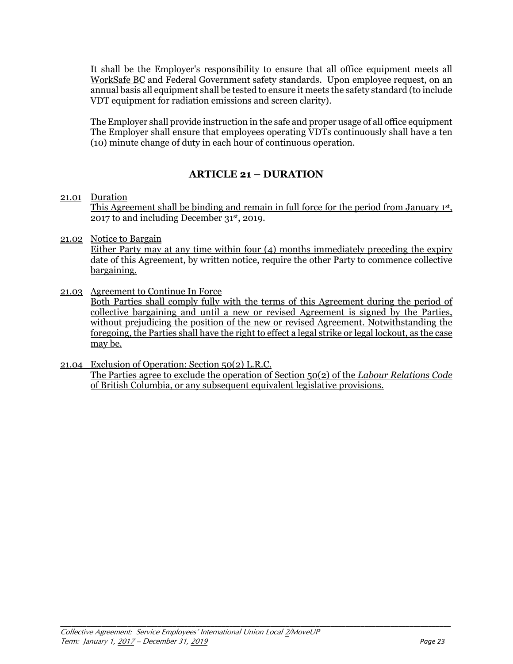It shall be the Employer's responsibility to ensure that all office equipment meets all WorkSafe BC and Federal Government safety standards. Upon employee request, on an annual basis all equipment shall be tested to ensure it meets the safety standard (to include VDT equipment for radiation emissions and screen clarity).

 The Employer shall provide instruction in the safe and proper usage of all office equipment The Employer shall ensure that employees operating VDTs continuously shall have a ten (10) minute change of duty in each hour of continuous operation.

## **ARTICLE 21 – DURATION**

#### 21.01 Duration

This Agreement shall be binding and remain in full force for the period from January 1st, 2017 to and including December 31st, 2019.

21.02 Notice to Bargain

Either Party may at any time within four (4) months immediately preceding the expiry date of this Agreement, by written notice, require the other Party to commence collective bargaining.

21.03 Agreement to Continue In Force

Both Parties shall comply fully with the terms of this Agreement during the period of collective bargaining and until a new or revised Agreement is signed by the Parties, without prejudicing the position of the new or revised Agreement. Notwithstanding the foregoing, the Parties shall have the right to effect a legal strike or legal lockout, as the case may be.

21.04 Exclusion of Operation: Section 50(2) L.R.C. The Parties agree to exclude the operation of Section 50(2) of the *Labour Relations Code* of British Columbia, or any subsequent equivalent legislative provisions.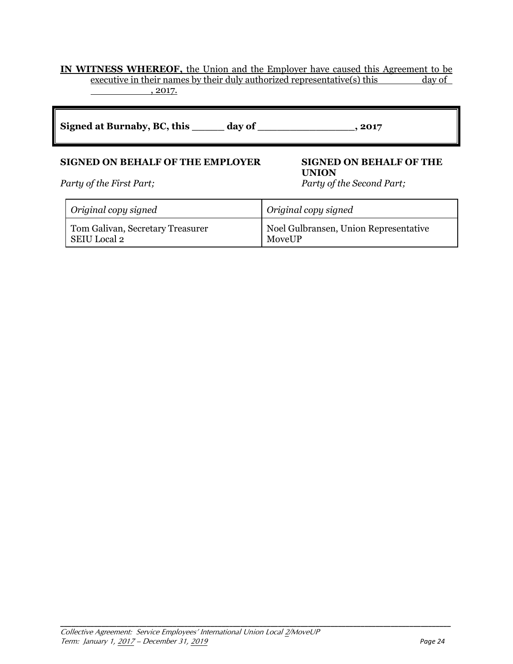#### **IN WITNESS WHEREOF,** the Union and the Employer have caused this Agreement to be executive in their names by their duly authorized representative(s) this day of , 2017.

| Signed at Burnaby, BC, this | day of | .2017 |
|-----------------------------|--------|-------|
|-----------------------------|--------|-------|

## **SIGNED ON BEHALF OF THE EMPLOYER SIGNED ON BEHALF OF THE**

*Party of the First Part; Party of the Second Part;* 

# **UNION**

| Original copy signed             | Original copy signed                  |
|----------------------------------|---------------------------------------|
| Tom Galivan, Secretary Treasurer | Noel Gulbransen, Union Representative |
| SEIU Local 2                     | MoveUP                                |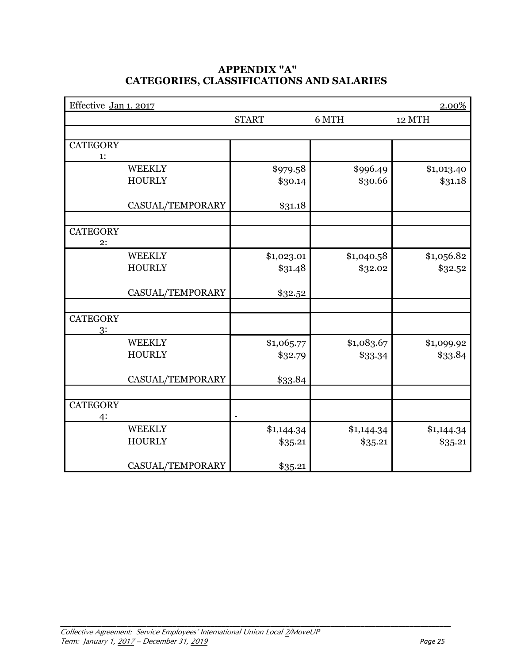## **APPENDIX "A" CATEGORIES, CLASSIFICATIONS AND SALARIES**

| Effective Jan 1, 2017 |                  |                |            | 2.00%      |
|-----------------------|------------------|----------------|------------|------------|
|                       |                  | <b>START</b>   | 6 MTH      | 12 MTH     |
|                       |                  |                |            |            |
| <b>CATEGORY</b>       |                  |                |            |            |
| 1:                    |                  |                |            |            |
|                       | <b>WEEKLY</b>    | \$979.58       | \$996.49   | \$1,013.40 |
|                       | <b>HOURLY</b>    | \$30.14        | \$30.66    | \$31.18    |
|                       |                  |                |            |            |
|                       | CASUAL/TEMPORARY | \$31.18        |            |            |
|                       |                  |                |            |            |
| <b>CATEGORY</b>       |                  |                |            |            |
| 2:                    |                  |                |            |            |
|                       | <b>WEEKLY</b>    | \$1,023.01     | \$1,040.58 | \$1,056.82 |
|                       | <b>HOURLY</b>    | \$31.48        | \$32.02    | \$32.52    |
|                       |                  |                |            |            |
|                       | CASUAL/TEMPORARY | \$32.52        |            |            |
|                       |                  |                |            |            |
| <b>CATEGORY</b>       |                  |                |            |            |
| 3:                    |                  |                |            |            |
|                       | <b>WEEKLY</b>    | \$1,065.77     | \$1,083.67 | \$1,099.92 |
|                       | <b>HOURLY</b>    | \$32.79        | \$33.34    | \$33.84    |
|                       |                  |                |            |            |
|                       | CASUAL/TEMPORARY | \$33.84        |            |            |
|                       |                  |                |            |            |
| <b>CATEGORY</b>       |                  |                |            |            |
| 4:                    |                  | $\overline{a}$ |            |            |
|                       | <b>WEEKLY</b>    | \$1,144.34     | \$1,144.34 | \$1,144.34 |
|                       | <b>HOURLY</b>    | \$35.21        | \$35.21    | \$35.21    |
|                       |                  |                |            |            |
|                       | CASUAL/TEMPORARY | \$35.21        |            |            |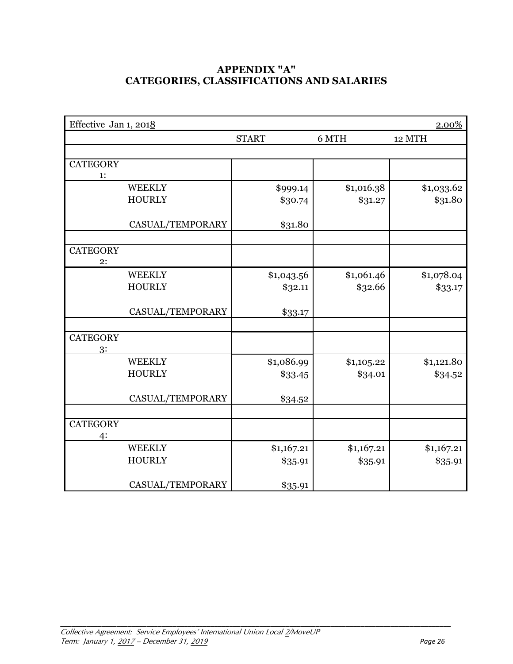## **APPENDIX "A" CATEGORIES, CLASSIFICATIONS AND SALARIES**

| Effective Jan 1, 2018 |                  |              |            | 2.00%      |
|-----------------------|------------------|--------------|------------|------------|
|                       |                  | <b>START</b> | 6 MTH      | 12 MTH     |
|                       |                  |              |            |            |
| <b>CATEGORY</b>       |                  |              |            |            |
| 1:                    |                  |              |            |            |
|                       | <b>WEEKLY</b>    | \$999.14     | \$1,016.38 | \$1,033.62 |
|                       | <b>HOURLY</b>    | \$30.74      | \$31.27    | \$31.80    |
|                       |                  |              |            |            |
|                       | CASUAL/TEMPORARY | \$31.80      |            |            |
|                       |                  |              |            |            |
| <b>CATEGORY</b><br>2: |                  |              |            |            |
|                       | <b>WEEKLY</b>    | \$1,043.56   | \$1,061.46 | \$1,078.04 |
|                       | <b>HOURLY</b>    | \$32.11      | \$32.66    | \$33.17    |
|                       |                  |              |            |            |
|                       | CASUAL/TEMPORARY | \$33.17      |            |            |
|                       |                  |              |            |            |
| <b>CATEGORY</b>       |                  |              |            |            |
| 3:                    |                  |              |            |            |
|                       | <b>WEEKLY</b>    | \$1,086.99   | \$1,105.22 | \$1,121.80 |
|                       | <b>HOURLY</b>    | \$33.45      | \$34.01    | \$34.52    |
|                       | CASUAL/TEMPORARY | \$34.52      |            |            |
|                       |                  |              |            |            |
| <b>CATEGORY</b>       |                  |              |            |            |
| 4:                    |                  |              |            |            |
|                       | <b>WEEKLY</b>    | \$1,167.21   | \$1,167.21 | \$1,167.21 |
|                       | <b>HOURLY</b>    | \$35.91      | \$35.91    | \$35.91    |
|                       |                  |              |            |            |
|                       | CASUAL/TEMPORARY | \$35.91      |            |            |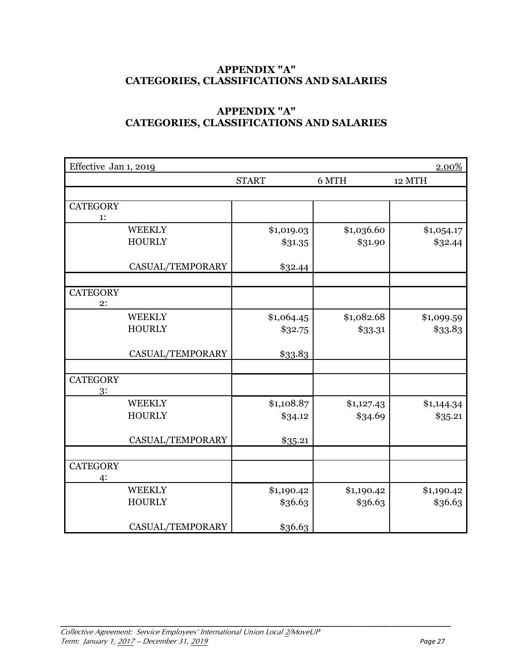## **APPENDIX "A" CATEGORIES, CLASSIFICATIONS AND SALARIES**

## **APPENDIX "A" CATEGORIES, CLASSIFICATIONS AND SALARIES**

| Effective Jan 1, 2019 |                  |              |            | 2.00%      |
|-----------------------|------------------|--------------|------------|------------|
|                       |                  | <b>START</b> | 6 MTH      | 12 MTH     |
|                       |                  |              |            |            |
| <b>CATEGORY</b>       |                  |              |            |            |
| 1:                    |                  |              |            |            |
|                       | <b>WEEKLY</b>    | \$1,019.03   | \$1,036.60 | \$1,054.17 |
|                       | <b>HOURLY</b>    | \$31.35      | \$31.90    | \$32.44    |
|                       |                  |              |            |            |
|                       | CASUAL/TEMPORARY | \$32.44      |            |            |
|                       |                  |              |            |            |
| <b>CATEGORY</b>       |                  |              |            |            |
| 2:                    |                  |              |            |            |
|                       | <b>WEEKLY</b>    | \$1,064.45   | \$1,082.68 | \$1,099.59 |
|                       | <b>HOURLY</b>    | \$32.75      | \$33.31    | \$33.83    |
|                       |                  |              |            |            |
|                       | CASUAL/TEMPORARY | \$33.83      |            |            |
|                       |                  |              |            |            |
| <b>CATEGORY</b>       |                  |              |            |            |
| 3:                    |                  |              |            |            |
|                       | <b>WEEKLY</b>    | \$1,108.87   | \$1,127.43 | \$1,144.34 |
|                       | <b>HOURLY</b>    | \$34.12      | \$34.69    | \$35.21    |
|                       |                  |              |            |            |
|                       | CASUAL/TEMPORARY | \$35.21      |            |            |
|                       |                  |              |            |            |
| <b>CATEGORY</b>       |                  |              |            |            |
| 4:                    |                  |              |            |            |
|                       | <b>WEEKLY</b>    | \$1,190.42   | \$1,190.42 | \$1,190.42 |
|                       | <b>HOURLY</b>    | \$36.63      | \$36.63    | \$36.63    |
|                       |                  |              |            |            |
|                       | CASUAL/TEMPORARY | \$36.63      |            |            |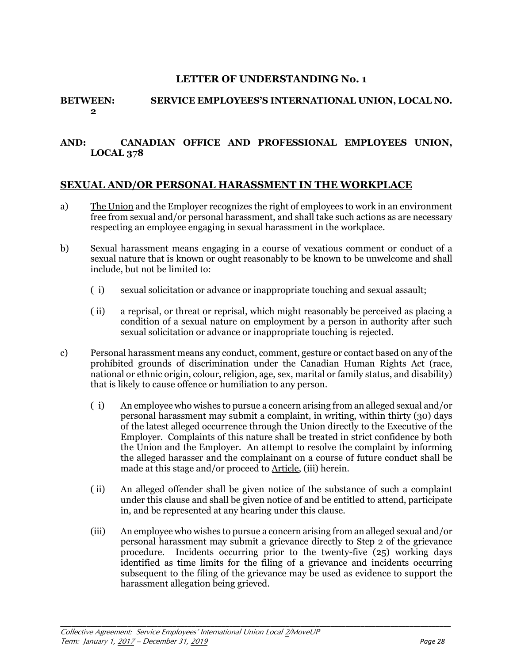#### **LETTER OF UNDERSTANDING No. 1**

#### **BETWEEN: SERVICE EMPLOYEES'S INTERNATIONAL UNION, LOCAL NO. 2**

#### **AND: CANADIAN OFFICE AND PROFESSIONAL EMPLOYEES UNION, LOCAL 378**

## **SEXUAL AND/OR PERSONAL HARASSMENT IN THE WORKPLACE**

- a) The Union and the Employer recognizes the right of employees to work in an environment free from sexual and/or personal harassment, and shall take such actions as are necessary respecting an employee engaging in sexual harassment in the workplace.
- b) Sexual harassment means engaging in a course of vexatious comment or conduct of a sexual nature that is known or ought reasonably to be known to be unwelcome and shall include, but not be limited to:
	- ( i) sexual solicitation or advance or inappropriate touching and sexual assault;
	- ( ii) a reprisal, or threat or reprisal, which might reasonably be perceived as placing a condition of a sexual nature on employment by a person in authority after such sexual solicitation or advance or inappropriate touching is rejected.
- c) Personal harassment means any conduct, comment, gesture or contact based on any of the prohibited grounds of discrimination under the Canadian Human Rights Act (race, national or ethnic origin, colour, religion, age, sex, marital or family status, and disability) that is likely to cause offence or humiliation to any person.
	- ( i) An employee who wishes to pursue a concern arising from an alleged sexual and/or personal harassment may submit a complaint, in writing, within thirty (30) days of the latest alleged occurrence through the Union directly to the Executive of the Employer. Complaints of this nature shall be treated in strict confidence by both the Union and the Employer. An attempt to resolve the complaint by informing the alleged harasser and the complainant on a course of future conduct shall be made at this stage and/or proceed to Article, (iii) herein.
	- ( ii) An alleged offender shall be given notice of the substance of such a complaint under this clause and shall be given notice of and be entitled to attend, participate in, and be represented at any hearing under this clause.
	- (iii) An employee who wishes to pursue a concern arising from an alleged sexual and/or personal harassment may submit a grievance directly to Step 2 of the grievance procedure. Incidents occurring prior to the twenty-five (25) working days identified as time limits for the filing of a grievance and incidents occurring subsequent to the filing of the grievance may be used as evidence to support the harassment allegation being grieved.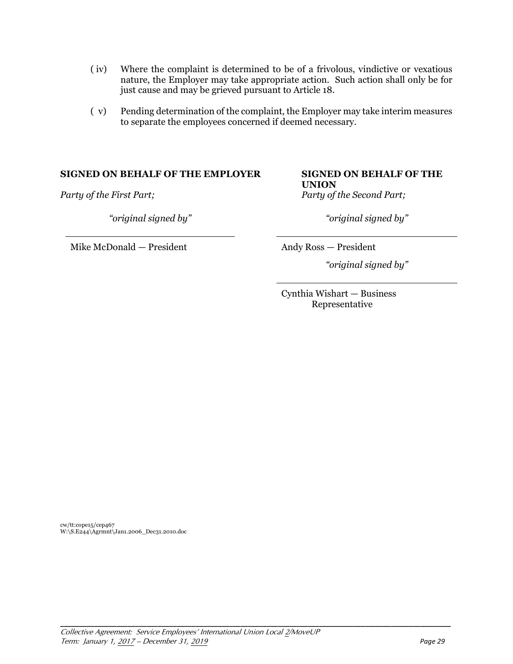- ( iv) Where the complaint is determined to be of a frivolous, vindictive or vexatious nature, the Employer may take appropriate action. Such action shall only be for just cause and may be grieved pursuant to Article 18.
- ( v) Pending determination of the complaint, the Employer may take interim measures to separate the employees concerned if deemed necessary.

#### **SIGNED ON BEHALF OF THE EMPLOYER SIGNED ON BEHALF OF THE**

*Party of the First Part; Party of the Second Part;*

*"original signed by" "original signed by"*

Mike McDonald — President Andy Ross — President

# **UNION**

*"original signed by"*

Cynthia Wishart — Business Representative

cw/tt:cope15/cep467 W:\S.E244\Agrmnt\Jan1.2006\_Dec31.2010.doc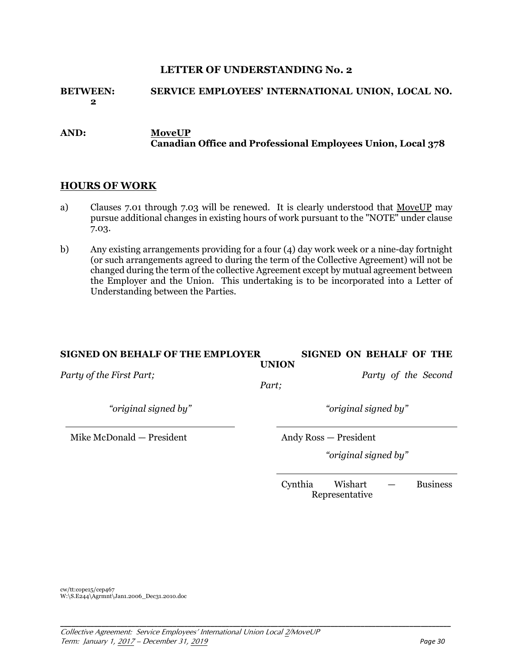#### **LETTER OF UNDERSTANDING No. 2**

## **BETWEEN: SERVICE EMPLOYEES' INTERNATIONAL UNION, LOCAL NO. 2**

#### **AND: MoveUP Canadian Office and Professional Employees Union, Local 378**

#### **HOURS OF WORK**

- a) Clauses 7.01 through 7.03 will be renewed. It is clearly understood that MoveUP may pursue additional changes in existing hours of work pursuant to the "NOTE" under clause 7.03.
- b) Any existing arrangements providing for a four (4) day work week or a nine-day fortnight (or such arrangements agreed to during the term of the Collective Agreement) will not be changed during the term of the collective Agreement except by mutual agreement between the Employer and the Union. This undertaking is to be incorporated into a Letter of Understanding between the Parties.

#### **SIGNED ON BEHALF OF THE EMPLOYER SIGNED ON BEHALF OF THE UNION**

**\_\_\_\_\_\_\_\_\_\_\_\_\_\_\_\_\_\_\_\_\_\_\_\_\_\_\_\_\_\_\_\_\_\_\_\_\_\_\_\_\_\_\_\_\_\_\_\_\_\_\_\_\_\_\_\_\_\_\_\_\_\_\_\_\_\_\_\_\_\_\_\_\_\_\_\_\_\_\_\_\_\_\_\_\_\_\_\_\_\_\_\_\_\_\_\_\_\_\_\_\_\_\_\_** 

*Party of the First Part; Party of the Second* 

*Part;*

*"original signed by" "original signed by"*

Mike McDonald — President Andy Ross — President

*"original signed by"*

Cynthia Wishart — Business Representative

cw/tt:cope15/cep467 W:\S.E244\Agrmnt\Jan1.2006\_Dec31.2010.doc